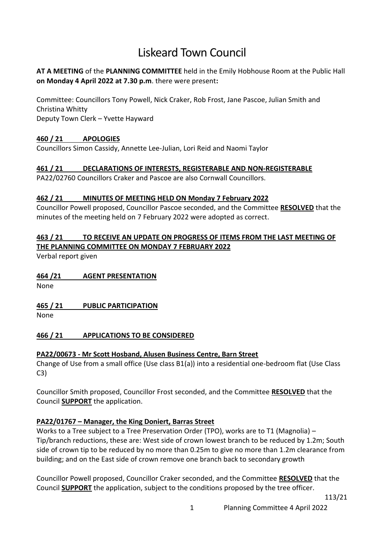# Liskeard Town Council

## **AT A MEETING** of the **PLANNING COMMITTEE** held in the Emily Hobhouse Room at the Public Hall **on Monday 4 April 2022 at 7.30 p.m**. there were present**:**

Committee: Councillors Tony Powell, Nick Craker, Rob Frost, Jane Pascoe, Julian Smith and Christina Whitty

Deputy Town Clerk – Yvette Hayward

## **460 / 21 APOLOGIES**

Councillors Simon Cassidy, Annette Lee-Julian, Lori Reid and Naomi Taylor

## **461 / 21 DECLARATIONS OF INTERESTS, REGISTERABLE AND NON-REGISTERABLE**

PA22/02760 Councillors Craker and Pascoe are also Cornwall Councillors.

## **462 / 21 MINUTES OF MEETING HELD ON Monday 7 February 2022**

Councillor Powell proposed, Councillor Pascoe seconded, and the Committee **RESOLVED** that the minutes of the meeting held on 7 February 2022 were adopted as correct.

## **463 / 21 TO RECEIVE AN UPDATE ON PROGRESS OF ITEMS FROM THE LAST MEETING OF THE PLANNING COMMITTEE ON MONDAY 7 FEBRUARY 2022**

Verbal report given

## **464 /21 AGENT PRESENTATION**

None

## **465 / 21 PUBLIC PARTICIPATION**

None

## **466 / 21 APPLICATIONS TO BE CONSIDERED**

## **PA22/00673 - Mr Scott Hosband, Alusen Business Centre, Barn Street**

Change of Use from a small office (Use class B1(a)) into a residential one-bedroom flat (Use Class C3)

Councillor Smith proposed, Councillor Frost seconded, and the Committee **RESOLVED** that the Council **SUPPORT** the application.

## **PA22/01767 – Manager, the King Doniert, Barras Street**

Works to a Tree subject to a Tree Preservation Order (TPO), works are to T1 (Magnolia) – Tip/branch reductions, these are: West side of crown lowest branch to be reduced by 1.2m; South side of crown tip to be reduced by no more than 0.25m to give no more than 1.2m clearance from building; and on the East side of crown remove one branch back to secondary growth

Councillor Powell proposed, Councillor Craker seconded, and the Committee **RESOLVED** that the Council **SUPPORT** the application, subject to the conditions proposed by the tree officer.

113/21